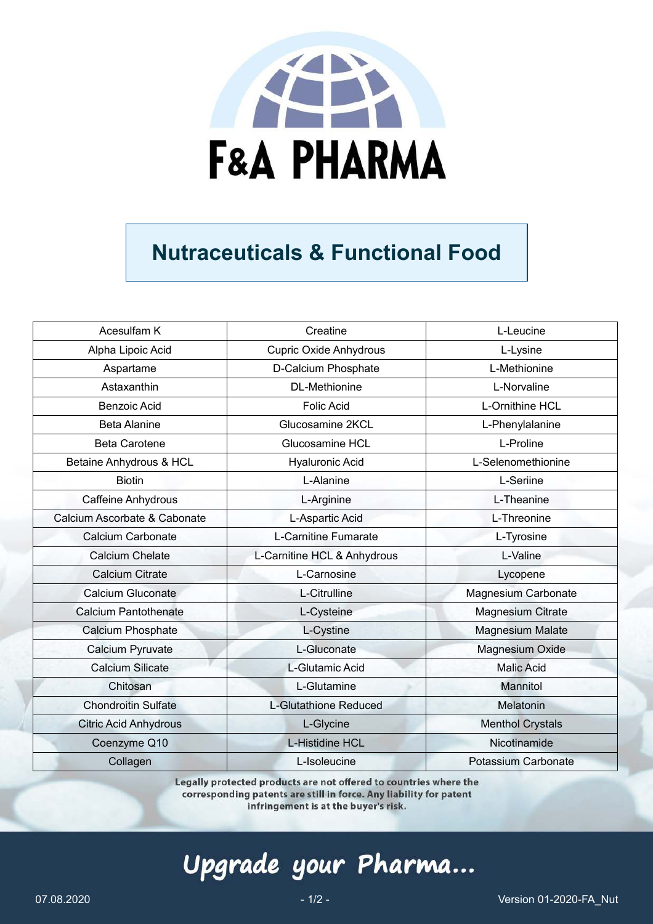

## **Nutraceuticals & Functional Food**

| Acesulfam K                  | Creatine                      | L-Leucine                  |
|------------------------------|-------------------------------|----------------------------|
| Alpha Lipoic Acid            | <b>Cupric Oxide Anhydrous</b> | L-Lysine                   |
| Aspartame                    | D-Calcium Phosphate           | L-Methionine               |
| Astaxanthin                  | <b>DL-Methionine</b>          | L-Norvaline                |
| <b>Benzoic Acid</b>          | <b>Folic Acid</b>             | L-Ornithine HCL            |
| <b>Beta Alanine</b>          | Glucosamine 2KCL              | L-Phenylalanine            |
| <b>Beta Carotene</b>         | Glucosamine HCL               | L-Proline                  |
| Betaine Anhydrous & HCL      | <b>Hyaluronic Acid</b>        | L-Selenomethionine         |
| <b>Biotin</b>                | L-Alanine                     | L-Seriine                  |
| <b>Caffeine Anhydrous</b>    | L-Arginine                    | L-Theanine                 |
| Calcium Ascorbate & Cabonate | L-Aspartic Acid               | L-Threonine                |
| Calcium Carbonate            | L-Carnitine Fumarate          | L-Tyrosine                 |
| <b>Calcium Chelate</b>       | L-Carnitine HCL & Anhydrous   | L-Valine                   |
| <b>Calcium Citrate</b>       | L-Carnosine                   | Lycopene                   |
| <b>Calcium Gluconate</b>     | L-Citrulline                  | <b>Magnesium Carbonate</b> |
| <b>Calcium Pantothenate</b>  | L-Cysteine                    | <b>Magnesium Citrate</b>   |
| Calcium Phosphate            | L-Cystine                     | <b>Magnesium Malate</b>    |
| <b>Calcium Pyruvate</b>      | L-Gluconate                   | <b>Magnesium Oxide</b>     |
| <b>Calcium Silicate</b>      | L-Glutamic Acid               | <b>Malic Acid</b>          |
| Chitosan                     | L-Glutamine                   | Mannitol                   |
| <b>Chondroitin Sulfate</b>   | L-Glutathione Reduced         | Melatonin                  |
| <b>Citric Acid Anhydrous</b> | L-Glycine                     | <b>Menthol Crystals</b>    |
| Coenzyme Q10                 | L-Histidine HCL               | Nicotinamide               |
| Collagen                     | L-Isoleucine                  | <b>Potassium Carbonate</b> |

Legally protected products are not offered to countries where the corresponding patents are still in force. Any liability for patent infringement is at the buyer's risk.

# Upgrade your Pharma...